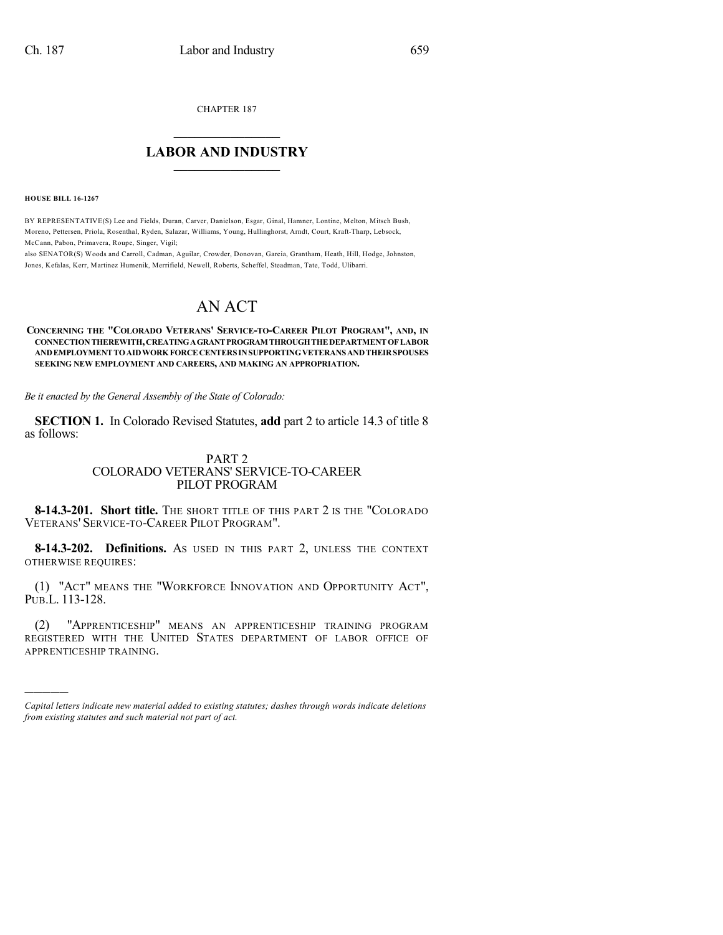CHAPTER 187

## $\mathcal{L}_\text{max}$  . The set of the set of the set of the set of the set of the set of the set of the set of the set of the set of the set of the set of the set of the set of the set of the set of the set of the set of the set **LABOR AND INDUSTRY**  $\frac{1}{\sqrt{2}}$  ,  $\frac{1}{\sqrt{2}}$  ,  $\frac{1}{\sqrt{2}}$  ,  $\frac{1}{\sqrt{2}}$  ,  $\frac{1}{\sqrt{2}}$  ,  $\frac{1}{\sqrt{2}}$

**HOUSE BILL 16-1267**

)))))

BY REPRESENTATIVE(S) Lee and Fields, Duran, Carver, Danielson, Esgar, Ginal, Hamner, Lontine, Melton, Mitsch Bush, Moreno, Pettersen, Priola, Rosenthal, Ryden, Salazar, Williams, Young, Hullinghorst, Arndt, Court, Kraft-Tharp, Lebsock, McCann, Pabon, Primavera, Roupe, Singer, Vigil;

also SENATOR(S) Woods and Carroll, Cadman, Aguilar, Crowder, Donovan, Garcia, Grantham, Heath, Hill, Hodge, Johnston, Jones, Kefalas, Kerr, Martinez Humenik, Merrifield, Newell, Roberts, Scheffel, Steadman, Tate, Todd, Ulibarri.

## AN ACT

## CONCERNING THE "COLORADO VETERANS' SERVICE-TO-CAREER PILOT PROGRAM", AND, IN **CONNECTIONTHEREWITH,CREATINGAGRANTPROGRAMTHROUGHTHEDEPARTMENTOFLABOR ANDEMPLOYMENTTOAIDWORK FORCECENTERSINSUPPORTINGVETERANS ANDTHEIRSPOUSES SEEKING NEW EMPLOYMENT AND CAREERS, AND MAKING AN APPROPRIATION.**

*Be it enacted by the General Assembly of the State of Colorado:*

**SECTION 1.** In Colorado Revised Statutes, **add** part 2 to article 14.3 of title 8 as follows:

## PART 2 COLORADO VETERANS' SERVICE-TO-CAREER PILOT PROGRAM

**8-14.3-201. Short title.** THE SHORT TITLE OF THIS PART 2 IS THE "COLORADO VETERANS' SERVICE-TO-CAREER PILOT PROGRAM".

**8-14.3-202. Definitions.** AS USED IN THIS PART 2, UNLESS THE CONTEXT OTHERWISE REQUIRES:

(1) "ACT" MEANS THE "WORKFORCE INNOVATION AND OPPORTUNITY ACT", PUB.L. 113-128.

(2) "APPRENTICESHIP" MEANS AN APPRENTICESHIP TRAINING PROGRAM REGISTERED WITH THE UNITED STATES DEPARTMENT OF LABOR OFFICE OF APPRENTICESHIP TRAINING.

*Capital letters indicate new material added to existing statutes; dashes through words indicate deletions from existing statutes and such material not part of act.*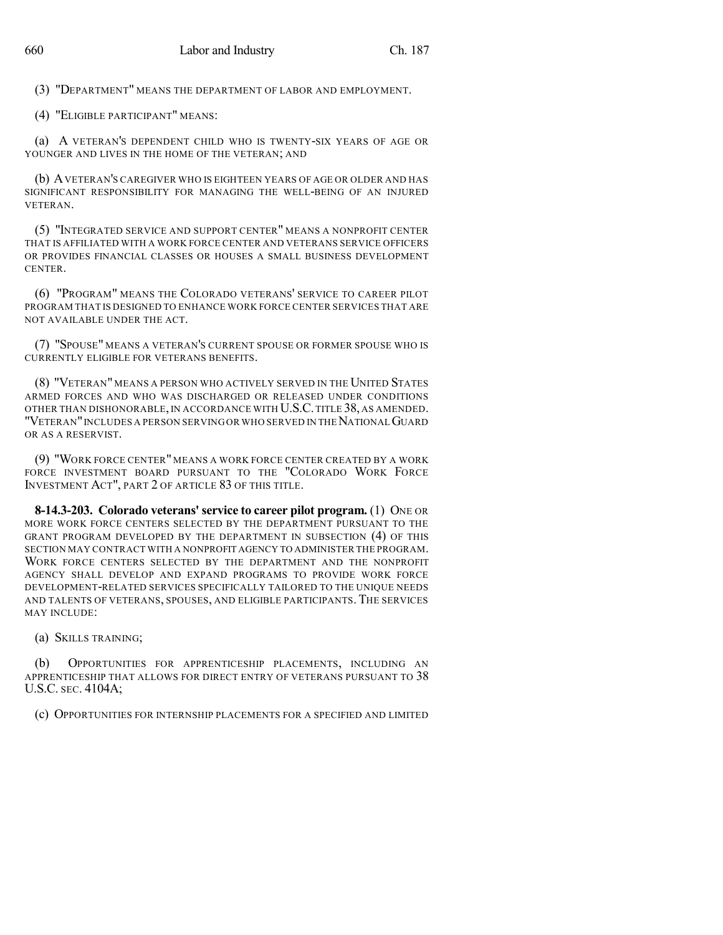(3) "DEPARTMENT" MEANS THE DEPARTMENT OF LABOR AND EMPLOYMENT.

(4) "ELIGIBLE PARTICIPANT" MEANS:

(a) A VETERAN'S DEPENDENT CHILD WHO IS TWENTY-SIX YEARS OF AGE OR YOUNGER AND LIVES IN THE HOME OF THE VETERAN; AND

(b) AVETERAN'S CAREGIVER WHO IS EIGHTEEN YEARS OF AGE OR OLDER AND HAS SIGNIFICANT RESPONSIBILITY FOR MANAGING THE WELL-BEING OF AN INJURED VETERAN.

(5) "INTEGRATED SERVICE AND SUPPORT CENTER" MEANS A NONPROFIT CENTER THAT IS AFFILIATED WITH A WORK FORCE CENTER AND VETERANS SERVICE OFFICERS OR PROVIDES FINANCIAL CLASSES OR HOUSES A SMALL BUSINESS DEVELOPMENT **CENTER** 

(6) "PROGRAM" MEANS THE COLORADO VETERANS' SERVICE TO CAREER PILOT PROGRAM THAT IS DESIGNED TO ENHANCE WORK FORCE CENTER SERVICES THAT ARE NOT AVAILABLE UNDER THE ACT.

(7) "SPOUSE" MEANS A VETERAN'S CURRENT SPOUSE OR FORMER SPOUSE WHO IS CURRENTLY ELIGIBLE FOR VETERANS BENEFITS.

(8) "VETERAN" MEANS A PERSON WHO ACTIVELY SERVED IN THE UNITED STATES ARMED FORCES AND WHO WAS DISCHARGED OR RELEASED UNDER CONDITIONS OTHER THAN DISHONORABLE, IN ACCORDANCE WITH U.S.C.TITLE 38, AS AMENDED. "VETERAN"INCLUDES A PERSON SERVING OR WHO SERVED IN THENATIONAL GUARD OR AS A RESERVIST.

(9) "WORK FORCE CENTER" MEANS A WORK FORCE CENTER CREATED BY A WORK FORCE INVESTMENT BOARD PURSUANT TO THE "COLORADO WORK FORCE INVESTMENT ACT", PART 2 OF ARTICLE 83 OF THIS TITLE.

**8-14.3-203. Colorado veterans'service to career pilot program.** (1) ONE OR MORE WORK FORCE CENTERS SELECTED BY THE DEPARTMENT PURSUANT TO THE GRANT PROGRAM DEVELOPED BY THE DEPARTMENT IN SUBSECTION (4) OF THIS SECTION MAY CONTRACT WITH A NONPROFIT AGENCY TO ADMINISTER THE PROGRAM. WORK FORCE CENTERS SELECTED BY THE DEPARTMENT AND THE NONPROFIT AGENCY SHALL DEVELOP AND EXPAND PROGRAMS TO PROVIDE WORK FORCE DEVELOPMENT-RELATED SERVICES SPECIFICALLY TAILORED TO THE UNIQUE NEEDS AND TALENTS OF VETERANS, SPOUSES, AND ELIGIBLE PARTICIPANTS. THE SERVICES MAY INCLUDE:

(a) SKILLS TRAINING;

(b) OPPORTUNITIES FOR APPRENTICESHIP PLACEMENTS, INCLUDING AN APPRENTICESHIP THAT ALLOWS FOR DIRECT ENTRY OF VETERANS PURSUANT TO 38 U.S.C. SEC. 4104A;

(c) OPPORTUNITIES FOR INTERNSHIP PLACEMENTS FOR A SPECIFIED AND LIMITED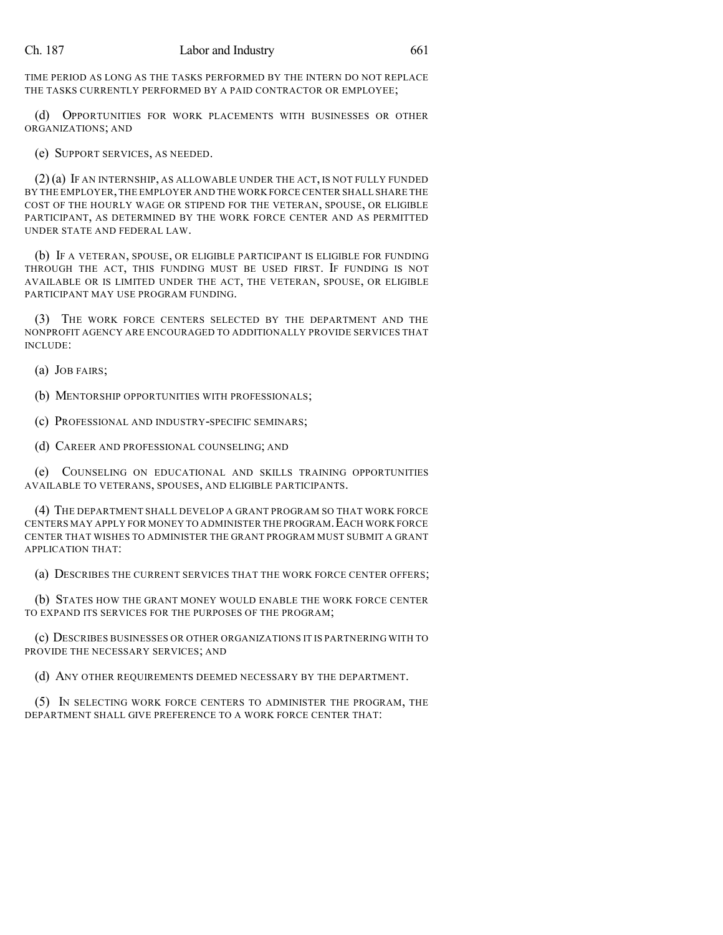TIME PERIOD AS LONG AS THE TASKS PERFORMED BY THE INTERN DO NOT REPLACE THE TASKS CURRENTLY PERFORMED BY A PAID CONTRACTOR OR EMPLOYEE;

(d) OPPORTUNITIES FOR WORK PLACEMENTS WITH BUSINESSES OR OTHER ORGANIZATIONS; AND

(e) SUPPORT SERVICES, AS NEEDED.

(2) (a) IF AN INTERNSHIP, AS ALLOWABLE UNDER THE ACT, IS NOT FULLY FUNDED BY THE EMPLOYER,THE EMPLOYER AND THE WORK FORCE CENTER SHALL SHARE THE COST OF THE HOURLY WAGE OR STIPEND FOR THE VETERAN, SPOUSE, OR ELIGIBLE PARTICIPANT, AS DETERMINED BY THE WORK FORCE CENTER AND AS PERMITTED UNDER STATE AND FEDERAL LAW.

(b) IF A VETERAN, SPOUSE, OR ELIGIBLE PARTICIPANT IS ELIGIBLE FOR FUNDING THROUGH THE ACT, THIS FUNDING MUST BE USED FIRST. IF FUNDING IS NOT AVAILABLE OR IS LIMITED UNDER THE ACT, THE VETERAN, SPOUSE, OR ELIGIBLE PARTICIPANT MAY USE PROGRAM FUNDING.

(3) THE WORK FORCE CENTERS SELECTED BY THE DEPARTMENT AND THE NONPROFIT AGENCY ARE ENCOURAGED TO ADDITIONALLY PROVIDE SERVICES THAT INCLUDE:

(a) JOB FAIRS;

(b) MENTORSHIP OPPORTUNITIES WITH PROFESSIONALS;

(c) PROFESSIONAL AND INDUSTRY-SPECIFIC SEMINARS;

(d) CAREER AND PROFESSIONAL COUNSELING; AND

(e) COUNSELING ON EDUCATIONAL AND SKILLS TRAINING OPPORTUNITIES AVAILABLE TO VETERANS, SPOUSES, AND ELIGIBLE PARTICIPANTS.

(4) THE DEPARTMENT SHALL DEVELOP A GRANT PROGRAM SO THAT WORK FORCE CENTERS MAY APPLY FOR MONEY TO ADMINISTER THE PROGRAM.EACH WORK FORCE CENTER THAT WISHES TO ADMINISTER THE GRANT PROGRAM MUST SUBMIT A GRANT APPLICATION THAT:

(a) DESCRIBES THE CURRENT SERVICES THAT THE WORK FORCE CENTER OFFERS;

(b) STATES HOW THE GRANT MONEY WOULD ENABLE THE WORK FORCE CENTER TO EXPAND ITS SERVICES FOR THE PURPOSES OF THE PROGRAM;

(c) DESCRIBES BUSINESSES OR OTHER ORGANIZATIONS IT IS PARTNERING WITH TO PROVIDE THE NECESSARY SERVICES; AND

(d) ANY OTHER REQUIREMENTS DEEMED NECESSARY BY THE DEPARTMENT.

(5) IN SELECTING WORK FORCE CENTERS TO ADMINISTER THE PROGRAM, THE DEPARTMENT SHALL GIVE PREFERENCE TO A WORK FORCE CENTER THAT: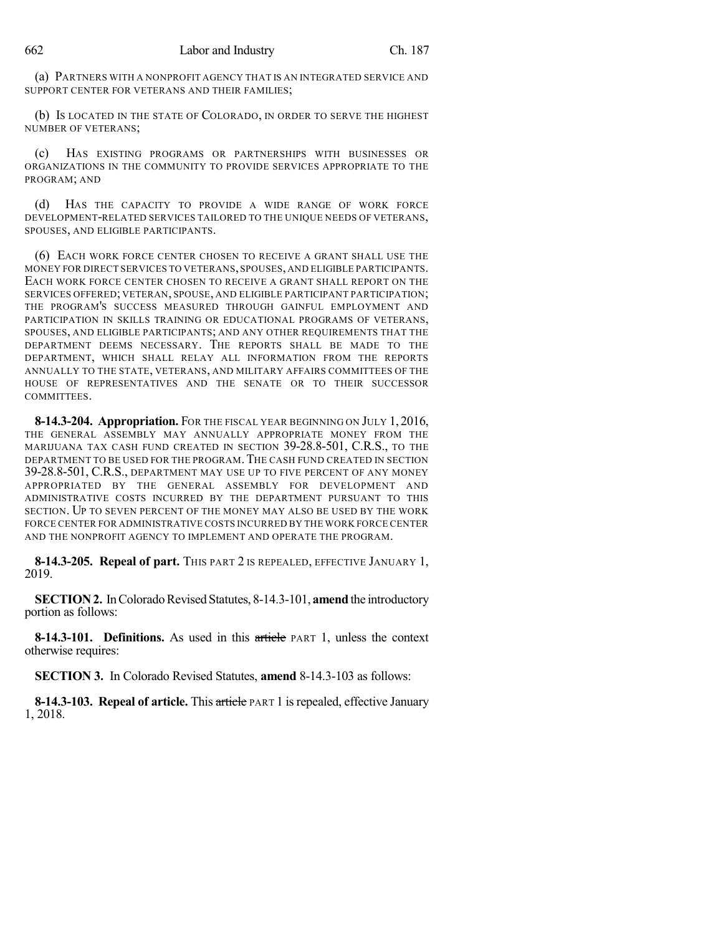(a) PARTNERS WITH A NONPROFIT AGENCY THAT IS AN INTEGRATED SERVICE AND SUPPORT CENTER FOR VETERANS AND THEIR FAMILIES;

(b) IS LOCATED IN THE STATE OF COLORADO, IN ORDER TO SERVE THE HIGHEST NUMBER OF VETERANS;

(c) HAS EXISTING PROGRAMS OR PARTNERSHIPS WITH BUSINESSES OR ORGANIZATIONS IN THE COMMUNITY TO PROVIDE SERVICES APPROPRIATE TO THE PROGRAM; AND

(d) HAS THE CAPACITY TO PROVIDE A WIDE RANGE OF WORK FORCE DEVELOPMENT-RELATED SERVICES TAILORED TO THE UNIQUE NEEDS OF VETERANS, SPOUSES, AND ELIGIBLE PARTICIPANTS.

(6) EACH WORK FORCE CENTER CHOSEN TO RECEIVE A GRANT SHALL USE THE MONEY FOR DIRECT SERVICES TO VETERANS, SPOUSES, AND ELIGIBLE PARTICIPANTS. EACH WORK FORCE CENTER CHOSEN TO RECEIVE A GRANT SHALL REPORT ON THE SERVICES OFFERED; VETERAN, SPOUSE, AND ELIGIBLE PARTICIPANT PARTICIPATION; THE PROGRAM'S SUCCESS MEASURED THROUGH GAINFUL EMPLOYMENT AND PARTICIPATION IN SKILLS TRAINING OR EDUCATIONAL PROGRAMS OF VETERANS, SPOUSES, AND ELIGIBLE PARTICIPANTS; AND ANY OTHER REQUIREMENTS THAT THE DEPARTMENT DEEMS NECESSARY. THE REPORTS SHALL BE MADE TO THE DEPARTMENT, WHICH SHALL RELAY ALL INFORMATION FROM THE REPORTS ANNUALLY TO THE STATE, VETERANS, AND MILITARY AFFAIRS COMMITTEES OF THE HOUSE OF REPRESENTATIVES AND THE SENATE OR TO THEIR SUCCESSOR COMMITTEES.

**8-14.3-204. Appropriation.** FOR THE FISCAL YEAR BEGINNING ON JULY 1, 2016, THE GENERAL ASSEMBLY MAY ANNUALLY APPROPRIATE MONEY FROM THE MARIJUANA TAX CASH FUND CREATED IN SECTION 39-28.8-501, C.R.S., TO THE DEPARTMENT TO BE USED FOR THE PROGRAM. THE CASH FUND CREATED IN SECTION 39-28.8-501, C.R.S., DEPARTMENT MAY USE UP TO FIVE PERCENT OF ANY MONEY APPROPRIATED BY THE GENERAL ASSEMBLY FOR DEVELOPMENT AND ADMINISTRATIVE COSTS INCURRED BY THE DEPARTMENT PURSUANT TO THIS SECTION. UP TO SEVEN PERCENT OF THE MONEY MAY ALSO BE USED BY THE WORK FORCE CENTER FOR ADMINISTRATIVE COSTS INCURRED BY THE WORK FORCE CENTER AND THE NONPROFIT AGENCY TO IMPLEMENT AND OPERATE THE PROGRAM.

**8-14.3-205. Repeal of part.** THIS PART 2 IS REPEALED, EFFECTIVE JANUARY 1, 2019.

**SECTION 2.** In Colorado Revised Statutes, 8-14.3-101, **amend** the introductory portion as follows:

**8-14.3-101. Definitions.** As used in this article PART 1, unless the context otherwise requires:

**SECTION 3.** In Colorado Revised Statutes, **amend** 8-14.3-103 as follows:

**8-14.3-103. Repeal of article.** This article PART 1 isrepealed, effective January 1, 2018.